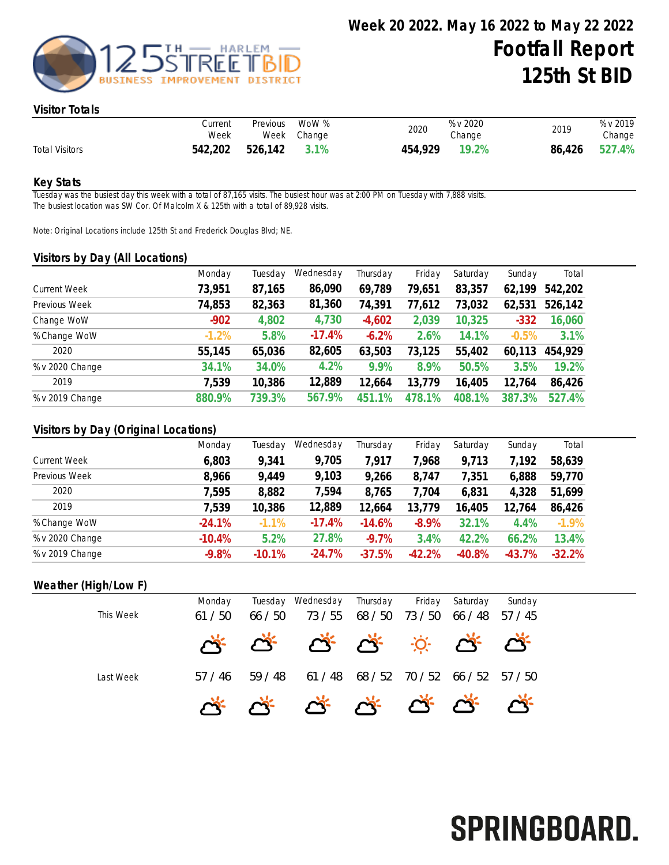

### Visitor Totals

|                       | Current<br>Week      | Previous | WoW %<br>Week Change | 2020    | % v 2020<br>Change | 2019 | % v 2019<br>Change |
|-----------------------|----------------------|----------|----------------------|---------|--------------------|------|--------------------|
| <b>Total Visitors</b> | 542,202 526,142 3.1% |          |                      | 454,929 | 19.2%              |      | 86,426 527.4%      |

### Key Stats

Tuesday was the busiest day this week with a total of 87,165 visits. The busiest hour was at 2:00 PM on Tuesday with 7,888 visits. The busiest location was SW Cor. Of Malcolm X & 125th with a total of 89,928 visits.

Note: Original Locations include 125th St and Frederick Douglas Blvd; NE.

#### Visitors by Day (All Locations)

| $\sim$ $\sim$       | Monday  | Tuesday | Wednesday | Thursday | Friday    | Saturday | Sunday        | Total   |
|---------------------|---------|---------|-----------|----------|-----------|----------|---------------|---------|
| <b>Current Week</b> | 73,951  | 87,165  | 86,090    | 69,789   | 79,651    | 83,357   | 62,199        | 542,202 |
| Previous Week       | 74,853  | 82,363  | 81,360    | 74,391   | 77,612    | 73,032   | 62,531        | 526,142 |
| Change WoW          | $-902$  | 4,802   | 4,730     | $-4,602$ | 2,039     | 10,325   | $-332$        | 16,060  |
| % Change WoW        | $-1.2%$ | 5.8%    | $-17.4%$  | $-6.2%$  | 2.6%      | 14.1%    | $-0.5%$       | 3.1%    |
| 2020                | 55,145  | 65,036  | 82,605    | 63,503   | 73,125    | 55,402   | 60,113        | 454,929 |
| % v 2020 Change     | 34.1%   | 34.0%   | 4.2%      | 9.9%     | 8.9%      | 50.5%    | 3.5%          | 19.2%   |
| 2019                | 7,539   | 10,386  | 12,889    | 12,664   | 13,779    | 16,405   | 12,764        | 86,426  |
| % v 2019 Change     | 880.9%  | 739.3%  | 567.9%    | 451.1%   | 478<br>1% | 408.1%   | $.3\%$<br>387 | 527.4%  |

### Visitors by Day (Original Locations)

|                     | Monday   | Tuesday  | Wednesday | Thursday | Friday   | Saturday | Sunday   | Total    |
|---------------------|----------|----------|-----------|----------|----------|----------|----------|----------|
| <b>Current Week</b> | 6,803    | 9,341    | 9,705     | 7,917    | ,968     | 9,713    | 7,192    | 58,639   |
| Previous Week       | 8,966    | 9,449    | 9,103     | 9,266    | 8,747    | 7,351    | 6,888    | 59,770   |
| 2020                | 7,595    | 8,882    | 7,594     | 8,765    | 7,704    | 6,831    | 4,328    | 51,699   |
| 2019                | 7,539    | 10,386   | 12,889    | 12,664   | 13,779   | 16,405   | 12,764   | 86,426   |
| % Change WoW        | $-24.1%$ | $-1.1%$  | $-17.4%$  | $-14.6%$ | $-8.9%$  | 32.1%    | 4.4%     | $-1.9\%$ |
| % v 2020 Change     | $-10.4%$ | 5.2%     | 27.8%     | $-9.7%$  | 3.4%     | 42.2%    | 66.2%    | 13.4%    |
| % v 2019 Change     | $-9.8%$  | $-10.1%$ | $-24.7%$  | $-37.5%$ | $-42.2%$ | $-40.8%$ | $-43.7%$ | $-32.2%$ |

### Weather (High/Low F)

|           | Monday |       | Tuesday Wednesday | Thursday | Friday  | Saturday | Sunday  |  |
|-----------|--------|-------|-------------------|----------|---------|----------|---------|--|
| This Week | 61/50  | 66/50 | 73 / 55           | 68 / 50  | 73 / 50 | 66 / 48  | 57 / 45 |  |
|           |        |       | * * * * * * * *   |          |         |          |         |  |
| Last Week | 57/46  | 59/48 | 61/48             | 68 / 52  | 70 / 52 | 66 / 52  | 57/50   |  |
|           |        |       | * * * * * * * * * |          |         |          |         |  |

# SPRINGBOARD.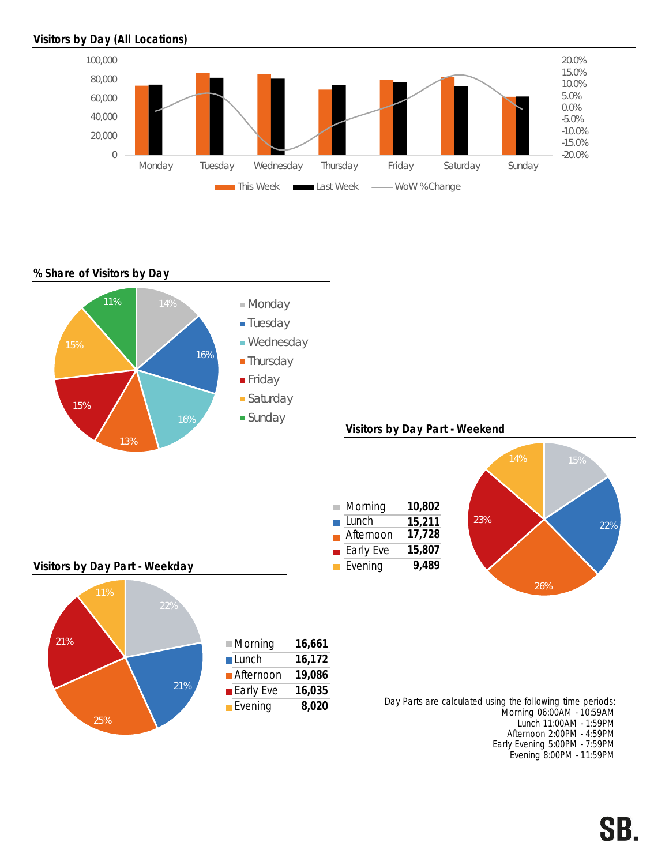# Visitors by Day (All Locations)



### % Share of Visitors by Day



SB.

Evening 8:00PM - 11:59PM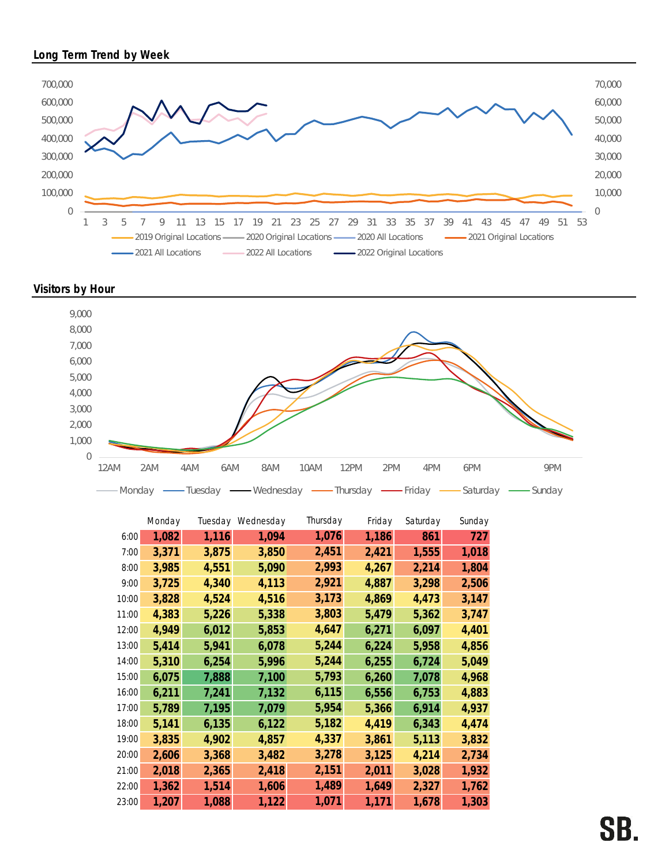## Long Term Trend by Week



Visitors by Hour



|       | Monday | Tuesday | Wednesday | Thursday | Friday | Saturday | Sunday |
|-------|--------|---------|-----------|----------|--------|----------|--------|
| 6:00  | 1,082  | 1,116   | 1,094     | 1,076    | 1,186  | 861      | 727    |
| 7:00  | 3,371  | 3,875   | 3,850     | 2,451    | 2,421  | 1,555    | 1,018  |
| 8:00  | 3,985  | 4,551   | 5,090     | 2,993    | 4,267  | 2,214    | 1,804  |
| 9:00  | 3,725  | 4,340   | 4,113     | 2,921    | 4,887  | 3,298    | 2,506  |
| 10:00 | 3,828  | 4,524   | 4,516     | 3,173    | 4,869  | 4,473    | 3,147  |
| 11:00 | 4,383  | 5,226   | 5,338     | 3,803    | 5,479  | 5,362    | 3,747  |
| 12:00 | 4,949  | 6,012   | 5,853     | 4,647    | 6,271  | 6,097    | 4,401  |
| 13:00 | 5,414  | 5,941   | 6,078     | 5,244    | 6,224  | 5,958    | 4,856  |
| 14:00 | 5,310  | 6,254   | 5,996     | 5,244    | 6,255  | 6,724    | 5,049  |
| 15:00 | 6,075  | 7,888   | 7,100     | 5,793    | 6,260  | 7,078    | 4,968  |
| 16:00 | 6,211  | 7,241   | 7,132     | 6,115    | 6,556  | 6,753    | 4,883  |
| 17:00 | 5,789  | 7,195   | 7,079     | 5,954    | 5,366  | 6,914    | 4,937  |
| 18:00 | 5,141  | 6,135   | 6,122     | 5,182    | 4,419  | 6,343    | 4,474  |
| 19:00 | 3,835  | 4,902   | 4,857     | 4,337    | 3,861  | 5,113    | 3,832  |
| 20:00 | 2,606  | 3,368   | 3,482     | 3,278    | 3,125  | 4,214    | 2,734  |
| 21:00 | 2,018  | 2,365   | 2,418     | 2,151    | 2,011  | 3,028    | 1,932  |
| 22:00 | 1,362  | 1,514   | 1,606     | 1,489    | 1,649  | 2,327    | 1,762  |
| 23:00 | 1,207  | 1,088   | 1,122     | 1,071    | 1,171  | 1,678    | 1,303  |